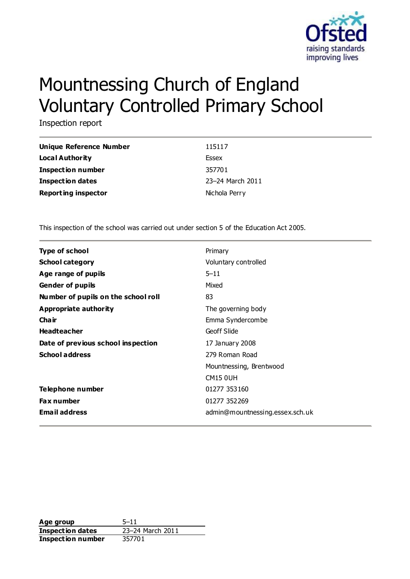

# Mountnessing Church of England Voluntary Controlled Primary School

Inspection report

| Unique Reference Number    | 115117           |
|----------------------------|------------------|
| Local Authority            | Essex            |
| <b>Inspection number</b>   | 357701           |
| Inspection dates           | 23-24 March 2011 |
| <b>Reporting inspector</b> | Nichola Perry    |

This inspection of the school was carried out under section 5 of the Education Act 2005.

| <b>Type of school</b>               | Primary                         |
|-------------------------------------|---------------------------------|
| <b>School category</b>              | Voluntary controlled            |
| Age range of pupils                 | $5 - 11$                        |
| <b>Gender of pupils</b>             | Mixed                           |
| Number of pupils on the school roll | 83                              |
| Appropriate authority               | The governing body              |
| Cha ir                              | Emma Syndercombe                |
| <b>Headteacher</b>                  | Geoff Slide                     |
| Date of previous school inspection  | 17 January 2008                 |
| <b>School address</b>               | 279 Roman Road                  |
|                                     | Mountnessing, Brentwood         |
|                                     | <b>CM15 0UH</b>                 |
| Telephone number                    | 01277 353160                    |
| <b>Fax number</b>                   | 01277 352269                    |
| <b>Email address</b>                | admin@mountnessing.essex.sch.uk |

**Age group** 5–11 **Inspection dates** 23–24 March 2011 **Inspection number** 357701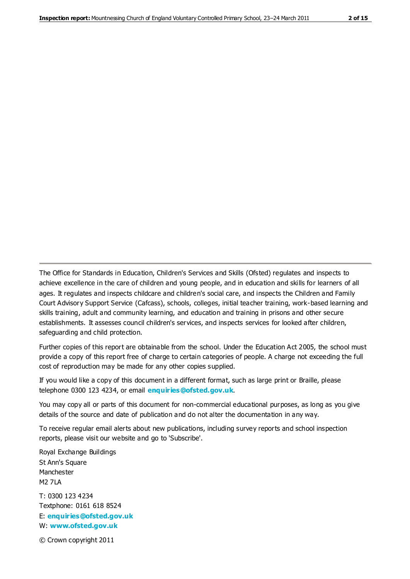The Office for Standards in Education, Children's Services and Skills (Ofsted) regulates and inspects to achieve excellence in the care of children and young people, and in education and skills for learners of all ages. It regulates and inspects childcare and children's social care, and inspects the Children and Family Court Advisory Support Service (Cafcass), schools, colleges, initial teacher training, work-based learning and skills training, adult and community learning, and education and training in prisons and other secure establishments. It assesses council children's services, and inspects services for looked after children, safeguarding and child protection.

Further copies of this report are obtainable from the school. Under the Education Act 2005, the school must provide a copy of this report free of charge to certain categories of people. A charge not exceeding the full cost of reproduction may be made for any other copies supplied.

If you would like a copy of this document in a different format, such as large print or Braille, please telephone 0300 123 4234, or email **[enquiries@ofsted.gov.uk](mailto:enquiries@ofsted.gov.uk)**.

You may copy all or parts of this document for non-commercial educational purposes, as long as you give details of the source and date of publication and do not alter the documentation in any way.

To receive regular email alerts about new publications, including survey reports and school inspection reports, please visit our website and go to 'Subscribe'.

Royal Exchange Buildings St Ann's Square Manchester M2 7LA T: 0300 123 4234 Textphone: 0161 618 8524

E: **[enquiries@ofsted.gov.uk](mailto:enquiries@ofsted.gov.uk)** W: **[www.ofsted.gov.uk](http://www.ofsted.gov.uk/)**

© Crown copyright 2011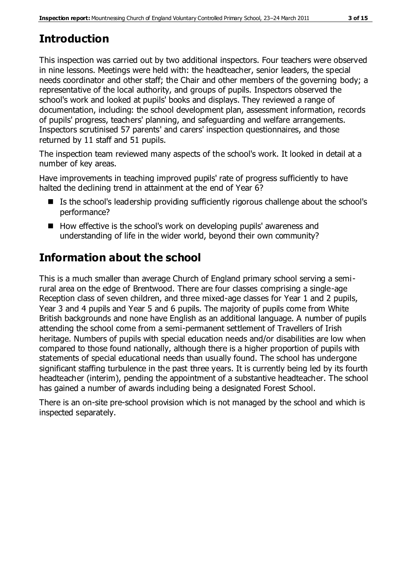# **Introduction**

This inspection was carried out by two additional inspectors. Four teachers were observed in nine lessons. Meetings were held with: the headteacher, senior leaders, the special needs coordinator and other staff; the Chair and other members of the governing body; a representative of the local authority, and groups of pupils. Inspectors observed the school's work and looked at pupils' books and displays. They reviewed a range of documentation, including: the school development plan, assessment information, records of pupils' progress, teachers' planning, and safeguarding and welfare arrangements. Inspectors scrutinised 57 parents' and carers' inspection questionnaires, and those returned by 11 staff and 51 pupils.

The inspection team reviewed many aspects of the school's work. It looked in detail at a number of key areas.

Have improvements in teaching improved pupils' rate of progress sufficiently to have halted the declining trend in attainment at the end of Year 6?

- Is the school's leadership providing sufficiently rigorous challenge about the school's performance?
- $\blacksquare$  How effective is the school's work on developing pupils' awareness and understanding of life in the wider world, beyond their own community?

# **Information about the school**

This is a much smaller than average Church of England primary school serving a semirural area on the edge of Brentwood. There are four classes comprising a single-age Reception class of seven children, and three mixed-age classes for Year 1 and 2 pupils, Year 3 and 4 pupils and Year 5 and 6 pupils. The majority of pupils come from White British backgrounds and none have English as an additional language. A number of pupils attending the school come from a semi-permanent settlement of Travellers of Irish heritage. Numbers of pupils with special education needs and/or disabilities are low when compared to those found nationally, although there is a higher proportion of pupils with statements of special educational needs than usually found. The school has undergone significant staffing turbulence in the past three years. It is currently being led by its fourth headteacher (interim), pending the appointment of a substantive headteacher. The school has gained a number of awards including being a designated Forest School.

There is an on-site pre-school provision which is not managed by the school and which is inspected separately.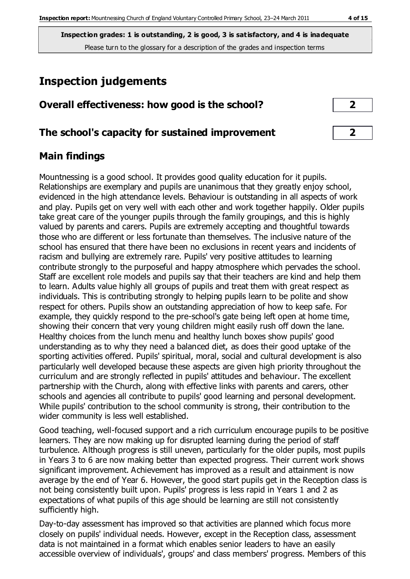# **Inspection judgements**

### **Overall effectiveness: how good is the school? 2**

#### **The school's capacity for sustained improvement 2**

### **Main findings**

Mountnessing is a good school. It provides good quality education for it pupils. Relationships are exemplary and pupils are unanimous that they greatly enjoy school, evidenced in the high attendance levels. Behaviour is outstanding in all aspects of work and play. Pupils get on very well with each other and work together happily. Older pupils take great care of the younger pupils through the family groupings, and this is highly valued by parents and carers. Pupils are extremely accepting and thoughtful towards those who are different or less fortunate than themselves. The inclusive nature of the school has ensured that there have been no exclusions in recent years and incidents of racism and bullying are extremely rare. Pupils' very positive attitudes to learning contribute strongly to the purposeful and happy atmosphere which pervades the school. Staff are excellent role models and pupils say that their teachers are kind and help them to learn. Adults value highly all groups of pupils and treat them with great respect as individuals. This is contributing strongly to helping pupils learn to be polite and show respect for others. Pupils show an outstanding appreciation of how to keep safe. For example, they quickly respond to the pre-school's gate being left open at home time, showing their concern that very young children might easily rush off down the lane. Healthy choices from the lunch menu and healthy lunch boxes show pupils' good understanding as to why they need a balanced diet, as does their good uptake of the sporting activities offered. Pupils' spiritual, moral, social and cultural development is also particularly well developed because these aspects are given high priority throughout the curriculum and are strongly reflected in pupils' attitudes and behaviour. The excellent partnership with the Church, along with effective links with parents and carers, other schools and agencies all contribute to pupils' good learning and personal development. While pupils' contribution to the school community is strong, their contribution to the wider community is less well established.

Good teaching, well-focused support and a rich curriculum encourage pupils to be positive learners. They are now making up for disrupted learning during the period of staff turbulence. Although progress is still uneven, particularly for the older pupils, most pupils in Years 3 to 6 are now making better than expected progress. Their current work shows significant improvement. Achievement has improved as a result and attainment is now average by the end of Year 6. However, the good start pupils get in the Reception class is not being consistently built upon. Pupils' progress is less rapid in Years 1 and 2 as expectations of what pupils of this age should be learning are still not consistently sufficiently high.

Day-to-day assessment has improved so that activities are planned which focus more closely on pupils' individual needs. However, except in the Reception class, assessment data is not maintained in a format which enables senior leaders to have an easily accessible overview of individuals', groups' and class members' progress. Members of this

| J |  |
|---|--|
|   |  |
| × |  |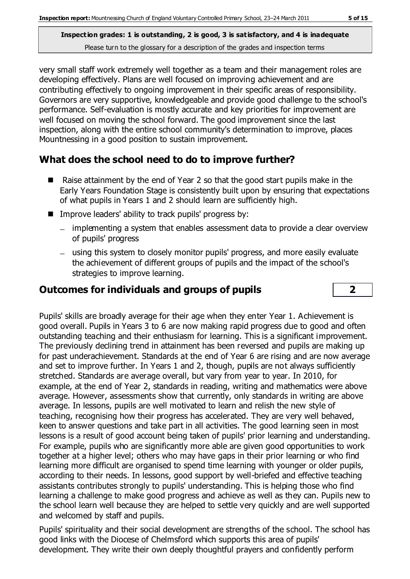very small staff work extremely well together as a team and their management roles are developing effectively. Plans are well focused on improving achievement and are contributing effectively to ongoing improvement in their specific areas of responsibility. Governors are very supportive, knowledgeable and provide good challenge to the school's performance. Self-evaluation is mostly accurate and key priorities for improvement are well focused on moving the school forward. The good improvement since the last inspection, along with the entire school community's determination to improve, places Mountnessing in a good position to sustain improvement.

## **What does the school need to do to improve further?**

- Raise attainment by the end of Year 2 so that the good start pupils make in the Early Years Foundation Stage is consistently built upon by ensuring that expectations of what pupils in Years 1 and 2 should learn are sufficiently high.
- Improve leaders' ability to track pupils' progress by:
	- implementing a system that enables assessment data to provide a clear overview of pupils' progress
	- using this system to closely monitor pupils' progress, and more easily evaluate the achievement of different groups of pupils and the impact of the school's strategies to improve learning.

## **Outcomes for individuals and groups of pupils 2**

Pupils' skills are broadly average for their age when they enter Year 1. Achievement is good overall. Pupils in Years 3 to 6 are now making rapid progress due to good and often outstanding teaching and their enthusiasm for learning. This is a significant improvement. The previously declining trend in attainment has been reversed and pupils are making up for past underachievement. Standards at the end of Year 6 are rising and are now average and set to improve further. In Years 1 and 2, though, pupils are not always sufficiently stretched. Standards are average overall, but vary from year to year. In 2010, for example, at the end of Year 2, standards in reading, writing and mathematics were above average. However, assessments show that currently, only standards in writing are above average. In lessons, pupils are well motivated to learn and relish the new style of teaching, recognising how their progress has accelerated. They are very well behaved, keen to answer questions and take part in all activities. The good learning seen in most lessons is a result of good account being taken of pupils' prior learning and understanding. For example, pupils who are significantly more able are given good opportunities to work together at a higher level; others who may have gaps in their prior learning or who find learning more difficult are organised to spend time learning with younger or older pupils, according to their needs. In lessons, good support by well-briefed and effective teaching assistants contributes strongly to pupils' understanding. This is helping those who find learning a challenge to make good progress and achieve as well as they can. Pupils new to the school learn well because they are helped to settle very quickly and are well supported and welcomed by staff and pupils.

Pupils' spirituality and their social development are strengths of the school. The school has good links with the Diocese of Chelmsford which supports this area of pupils' development. They write their own deeply thoughtful prayers and confidently perform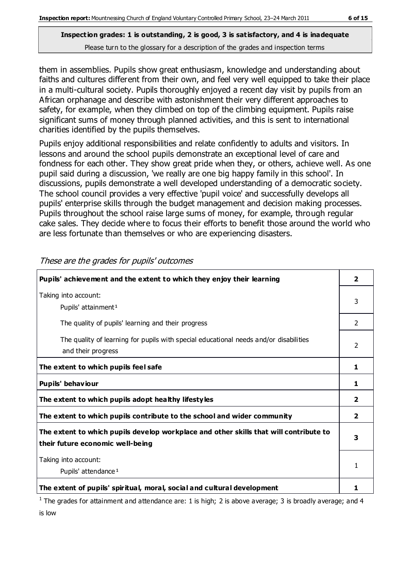them in assemblies. Pupils show great enthusiasm, knowledge and understanding about faiths and cultures different from their own, and feel very well equipped to take their place in a multi-cultural society. Pupils thoroughly enjoyed a recent day visit by pupils from an African orphanage and describe with astonishment their very different approaches to safety, for example, when they climbed on top of the climbing equipment. Pupils raise significant sums of money through planned activities, and this is sent to international charities identified by the pupils themselves.

Pupils enjoy additional responsibilities and relate confidently to adults and visitors. In lessons and around the school pupils demonstrate an exceptional level of care and fondness for each other. They show great pride when they, or others, achieve well. As one pupil said during a discussion, 'we really are one big happy family in this school'. In discussions, pupils demonstrate a well developed understanding of a democratic society. The school council provides a very effective 'pupil voice' and successfully develops all pupils' enterprise skills through the budget management and decision making processes. Pupils throughout the school raise large sums of money, for example, through regular cake sales. They decide where to focus their efforts to benefit those around the world who are less fortunate than themselves or who are experiencing disasters.

| Pupils' achievement and the extent to which they enjoy their learning                                                     |                |
|---------------------------------------------------------------------------------------------------------------------------|----------------|
| Taking into account:                                                                                                      |                |
| Pupils' attainment <sup>1</sup>                                                                                           | 3              |
| The quality of pupils' learning and their progress                                                                        | 2              |
| The quality of learning for pupils with special educational needs and/or disabilities<br>and their progress               | 2              |
| The extent to which pupils feel safe                                                                                      | 1              |
| Pupils' behaviour                                                                                                         | 1              |
| The extent to which pupils adopt healthy lifestyles                                                                       | 2              |
| The extent to which pupils contribute to the school and wider community                                                   | $\overline{2}$ |
| The extent to which pupils develop workplace and other skills that will contribute to<br>their future economic well-being | 3              |
| Taking into account:                                                                                                      |                |
| Pupils' attendance <sup>1</sup>                                                                                           | 1              |
| The extent of pupils' spiritual, moral, social and cultural development                                                   |                |

These are the grades for pupils' outcomes

<sup>1</sup> The grades for attainment and attendance are: 1 is high; 2 is above average; 3 is broadly average; and 4 is low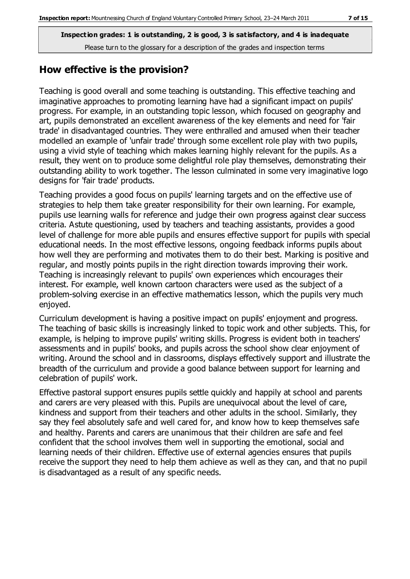### **How effective is the provision?**

Teaching is good overall and some teaching is outstanding. This effective teaching and imaginative approaches to promoting learning have had a significant impact on pupils' progress. For example, in an outstanding topic lesson, which focused on geography and art, pupils demonstrated an excellent awareness of the key elements and need for 'fair trade' in disadvantaged countries. They were enthralled and amused when their teacher modelled an example of 'unfair trade' through some excellent role play with two pupils, using a vivid style of teaching which makes learning highly relevant for the pupils. As a result, they went on to produce some delightful role play themselves, demonstrating their outstanding ability to work together. The lesson culminated in some very imaginative logo designs for 'fair trade' products.

Teaching provides a good focus on pupils' learning targets and on the effective use of strategies to help them take greater responsibility for their own learning. For example, pupils use learning walls for reference and judge their own progress against clear success criteria. Astute questioning, used by teachers and teaching assistants, provides a good level of challenge for more able pupils and ensures effective support for pupils with special educational needs. In the most effective lessons, ongoing feedback informs pupils about how well they are performing and motivates them to do their best. Marking is positive and regular, and mostly points pupils in the right direction towards improving their work. Teaching is increasingly relevant to pupils' own experiences which encourages their interest. For example, well known cartoon characters were used as the subject of a problem-solving exercise in an effective mathematics lesson, which the pupils very much enjoyed.

Curriculum development is having a positive impact on pupils' enjoyment and progress. The teaching of basic skills is increasingly linked to topic work and other subjects. This, for example, is helping to improve pupils' writing skills. Progress is evident both in teachers' assessments and in pupils' books, and pupils across the school show clear enjoyment of writing. Around the school and in classrooms, displays effectively support and illustrate the breadth of the curriculum and provide a good balance between support for learning and celebration of pupils' work.

Effective pastoral support ensures pupils settle quickly and happily at school and parents and carers are very pleased with this. Pupils are unequivocal about the level of care, kindness and support from their teachers and other adults in the school. Similarly, they say they feel absolutely safe and well cared for, and know how to keep themselves safe and healthy. Parents and carers are unanimous that their children are safe and feel confident that the school involves them well in supporting the emotional, social and learning needs of their children. Effective use of external agencies ensures that pupils receive the support they need to help them achieve as well as they can, and that no pupil is disadvantaged as a result of any specific needs.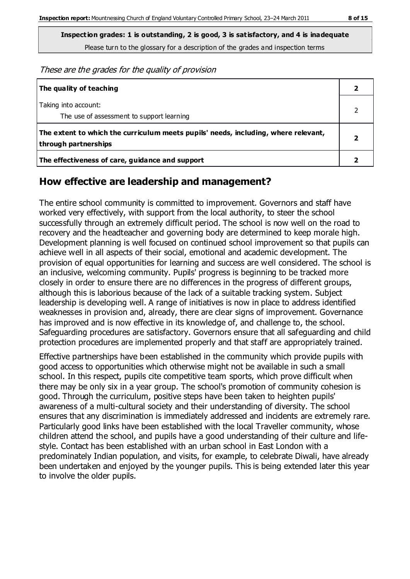These are the grades for the quality of provision

| The quality of teaching                                                                                    |  |
|------------------------------------------------------------------------------------------------------------|--|
| Taking into account:<br>The use of assessment to support learning                                          |  |
| The extent to which the curriculum meets pupils' needs, including, where relevant,<br>through partnerships |  |
| The effectiveness of care, guidance and support                                                            |  |

## **How effective are leadership and management?**

The entire school community is committed to improvement. Governors and staff have worked very effectively, with support from the local authority, to steer the school successfully through an extremely difficult period. The school is now well on the road to recovery and the headteacher and governing body are determined to keep morale high. Development planning is well focused on continued school improvement so that pupils can achieve well in all aspects of their social, emotional and academic development. The provision of equal opportunities for learning and success are well considered. The school is an inclusive, welcoming community. Pupils' progress is beginning to be tracked more closely in order to ensure there are no differences in the progress of different groups, although this is laborious because of the lack of a suitable tracking system. Subject leadership is developing well. A range of initiatives is now in place to address identified weaknesses in provision and, already, there are clear signs of improvement. Governance has improved and is now effective in its knowledge of, and challenge to, the school. Safeguarding procedures are satisfactory. Governors ensure that all safeguarding and child protection procedures are implemented properly and that staff are appropriately trained.

Effective partnerships have been established in the community which provide pupils with good access to opportunities which otherwise might not be available in such a small school. In this respect, pupils cite competitive team sports, which prove difficult when there may be only six in a year group. The school's promotion of community cohesion is good. Through the curriculum, positive steps have been taken to heighten pupils' awareness of a multi-cultural society and their understanding of diversity. The school ensures that any discrimination is immediately addressed and incidents are extremely rare. Particularly good links have been established with the local Traveller community, whose children attend the school, and pupils have a good understanding of their culture and lifestyle. Contact has been established with an urban school in East London with a predominately Indian population, and visits, for example, to celebrate Diwali, have already been undertaken and enjoyed by the younger pupils. This is being extended later this year to involve the older pupils.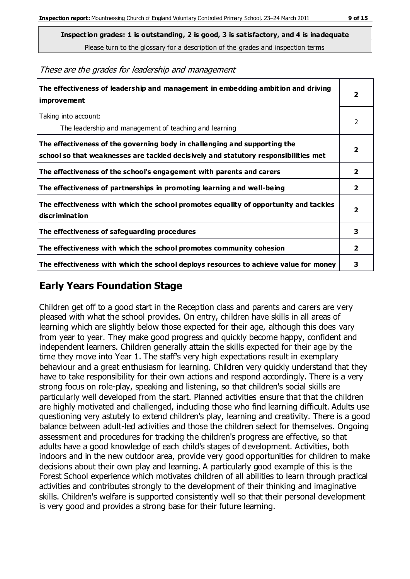**Inspection grades: 1 is outstanding, 2 is good, 3 is satisfactory, and 4 is inadequate**

Please turn to the glossary for a description of the grades and inspection terms

These are the grades for leadership and management

| The effectiveness of leadership and management in embedding ambition and driving<br>improvement                                                                  | $\overline{2}$          |
|------------------------------------------------------------------------------------------------------------------------------------------------------------------|-------------------------|
| Taking into account:<br>The leadership and management of teaching and learning                                                                                   | 2                       |
| The effectiveness of the governing body in challenging and supporting the<br>school so that weaknesses are tackled decisively and statutory responsibilities met | $\overline{\mathbf{2}}$ |
| The effectiveness of the school's engagement with parents and carers                                                                                             | $\mathbf{2}$            |
| The effectiveness of partnerships in promoting learning and well-being                                                                                           | $\mathbf{2}$            |
| The effectiveness with which the school promotes equality of opportunity and tackles<br>discrimination                                                           | $\overline{\mathbf{2}}$ |
| The effectiveness of safeguarding procedures                                                                                                                     | 3                       |
| The effectiveness with which the school promotes community cohesion                                                                                              | $\overline{2}$          |
| The effectiveness with which the school deploys resources to achieve value for money                                                                             | 3                       |

## **Early Years Foundation Stage**

Children get off to a good start in the Reception class and parents and carers are very pleased with what the school provides. On entry, children have skills in all areas of learning which are slightly below those expected for their age, although this does vary from year to year. They make good progress and quickly become happy, confident and independent learners. Children generally attain the skills expected for their age by the time they move into Year 1. The staff's very high expectations result in exemplary behaviour and a great enthusiasm for learning. Children very quickly understand that they have to take responsibility for their own actions and respond accordingly. There is a very strong focus on role-play, speaking and listening, so that children's social skills are particularly well developed from the start. Planned activities ensure that that the children are highly motivated and challenged, including those who find learning difficult. Adults use questioning very astutely to extend children's play, learning and creativity. There is a good balance between adult-led activities and those the children select for themselves. Ongoing assessment and procedures for tracking the children's progress are effective, so that adults have a good knowledge of each child's stages of development. Activities, both indoors and in the new outdoor area, provide very good opportunities for children to make decisions about their own play and learning. A particularly good example of this is the Forest School experience which motivates children of all abilities to learn through practical activities and contributes strongly to the development of their thinking and imaginative skills. Children's welfare is supported consistently well so that their personal development is very good and provides a strong base for their future learning.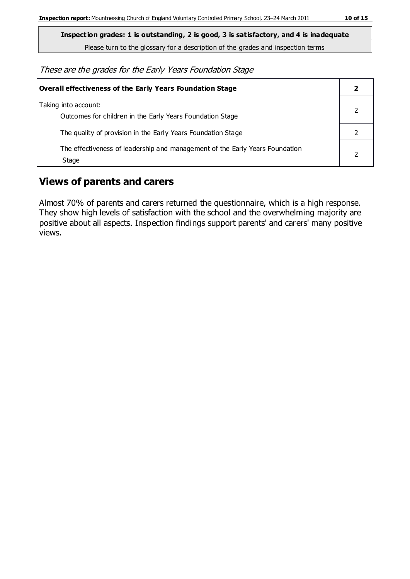**Inspection grades: 1 is outstanding, 2 is good, 3 is satisfactory, and 4 is inadequate**

Please turn to the glossary for a description of the grades and inspection terms

These are the grades for the Early Years Foundation Stage

| Overall effectiveness of the Early Years Foundation Stage                             |  |
|---------------------------------------------------------------------------------------|--|
| Taking into account:<br>Outcomes for children in the Early Years Foundation Stage     |  |
| The quality of provision in the Early Years Foundation Stage                          |  |
| The effectiveness of leadership and management of the Early Years Foundation<br>Stage |  |

### **Views of parents and carers**

Almost 70% of parents and carers returned the questionnaire, which is a high response. They show high levels of satisfaction with the school and the overwhelming majority are positive about all aspects. Inspection findings support parents' and carers' many positive views.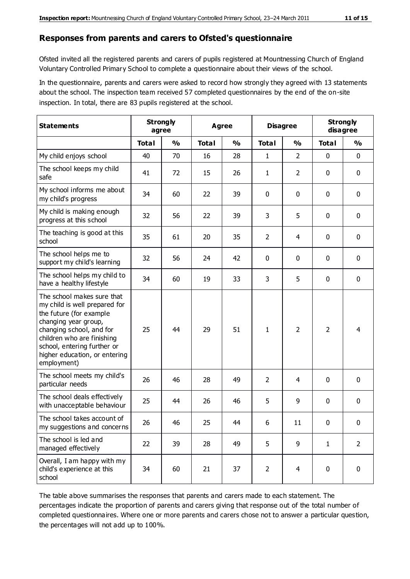#### **Responses from parents and carers to Ofsted's questionnaire**

Ofsted invited all the registered parents and carers of pupils registered at Mountnessing Church of England Voluntary Controlled Primary School to complete a questionnaire about their views of the school.

In the questionnaire, parents and carers were asked to record how strongly they agreed with 13 statements about the school. The inspection team received 57 completed questionnaires by the end of the on-site inspection. In total, there are 83 pupils registered at the school.

| <b>Statements</b>                                                                                                                                                                                                                                       | <b>Strongly</b><br>agree |               |              | Agree         |                | <b>Disagree</b> |                | <b>Strongly</b><br>disagree |
|---------------------------------------------------------------------------------------------------------------------------------------------------------------------------------------------------------------------------------------------------------|--------------------------|---------------|--------------|---------------|----------------|-----------------|----------------|-----------------------------|
|                                                                                                                                                                                                                                                         | <b>Total</b>             | $\frac{0}{0}$ | <b>Total</b> | $\frac{0}{0}$ | <b>Total</b>   | $\frac{0}{0}$   | <b>Total</b>   | $\frac{1}{2}$               |
| My child enjoys school                                                                                                                                                                                                                                  | 40                       | 70            | 16           | 28            | 1              | $\overline{2}$  | $\mathbf 0$    | $\mathbf 0$                 |
| The school keeps my child<br>safe                                                                                                                                                                                                                       | 41                       | 72            | 15           | 26            | 1              | $\overline{2}$  | 0              | $\mathbf 0$                 |
| My school informs me about<br>my child's progress                                                                                                                                                                                                       | 34                       | 60            | 22           | 39            | 0              | $\mathbf{0}$    | $\mathbf 0$    | $\mathbf 0$                 |
| My child is making enough<br>progress at this school                                                                                                                                                                                                    | 32                       | 56            | 22           | 39            | 3              | 5               | $\mathbf 0$    | $\mathbf 0$                 |
| The teaching is good at this<br>school                                                                                                                                                                                                                  | 35                       | 61            | 20           | 35            | $\overline{2}$ | 4               | 0              | $\mathbf 0$                 |
| The school helps me to<br>support my child's learning                                                                                                                                                                                                   | 32                       | 56            | 24           | 42            | 0              | 0               | $\mathbf 0$    | $\mathbf 0$                 |
| The school helps my child to<br>have a healthy lifestyle                                                                                                                                                                                                | 34                       | 60            | 19           | 33            | 3              | 5               | $\mathbf 0$    | $\mathbf 0$                 |
| The school makes sure that<br>my child is well prepared for<br>the future (for example<br>changing year group,<br>changing school, and for<br>children who are finishing<br>school, entering further or<br>higher education, or entering<br>employment) | 25                       | 44            | 29           | 51            | 1              | $\overline{2}$  | $\overline{2}$ | $\overline{4}$              |
| The school meets my child's<br>particular needs                                                                                                                                                                                                         | 26                       | 46            | 28           | 49            | $\overline{2}$ | 4               | $\mathbf 0$    | $\mathbf 0$                 |
| The school deals effectively<br>with unacceptable behaviour                                                                                                                                                                                             | 25                       | 44            | 26           | 46            | 5              | 9               | 0              | 0                           |
| The school takes account of<br>my suggestions and concerns                                                                                                                                                                                              | 26                       | 46            | 25           | 44            | 6              | 11              | $\mathbf{0}$   | $\mathbf{0}$                |
| The school is led and<br>managed effectively                                                                                                                                                                                                            | 22                       | 39            | 28           | 49            | 5              | 9               | $\mathbf{1}$   | $\overline{2}$              |
| Overall, I am happy with my<br>child's experience at this<br>school                                                                                                                                                                                     | 34                       | 60            | 21           | 37            | $\overline{2}$ | $\overline{4}$  | $\mathbf 0$    | $\mathbf 0$                 |

The table above summarises the responses that parents and carers made to each statement. The percentages indicate the proportion of parents and carers giving that response out of the total number of completed questionnaires. Where one or more parents and carers chose not to answer a particular question, the percentages will not add up to 100%.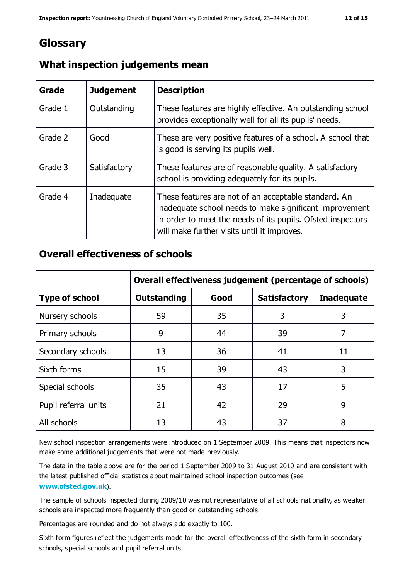## **Glossary**

| Grade   | <b>Judgement</b> | <b>Description</b>                                                                                                                                                                                                            |
|---------|------------------|-------------------------------------------------------------------------------------------------------------------------------------------------------------------------------------------------------------------------------|
| Grade 1 | Outstanding      | These features are highly effective. An outstanding school<br>provides exceptionally well for all its pupils' needs.                                                                                                          |
| Grade 2 | Good             | These are very positive features of a school. A school that<br>is good is serving its pupils well.                                                                                                                            |
| Grade 3 | Satisfactory     | These features are of reasonable quality. A satisfactory<br>school is providing adequately for its pupils.                                                                                                                    |
| Grade 4 | Inadequate       | These features are not of an acceptable standard. An<br>inadequate school needs to make significant improvement<br>in order to meet the needs of its pupils. Ofsted inspectors<br>will make further visits until it improves. |

#### **What inspection judgements mean**

#### **Overall effectiveness of schools**

|                       | Overall effectiveness judgement (percentage of schools) |      |                     |                   |
|-----------------------|---------------------------------------------------------|------|---------------------|-------------------|
| <b>Type of school</b> | <b>Outstanding</b>                                      | Good | <b>Satisfactory</b> | <b>Inadequate</b> |
| Nursery schools       | 59                                                      | 35   | 3                   | 3                 |
| Primary schools       | 9                                                       | 44   | 39                  | 7                 |
| Secondary schools     | 13                                                      | 36   | 41                  | 11                |
| Sixth forms           | 15                                                      | 39   | 43                  | 3                 |
| Special schools       | 35                                                      | 43   | 17                  | 5                 |
| Pupil referral units  | 21                                                      | 42   | 29                  | 9                 |
| All schools           | 13                                                      | 43   | 37                  | 8                 |

New school inspection arrangements were introduced on 1 September 2009. This means that inspectors now make some additional judgements that were not made previously.

The data in the table above are for the period 1 September 2009 to 31 August 2010 and are consistent with the latest published official statistics about maintained school inspection outcomes (see **[www.ofsted.gov.uk](http://www.ofsted.gov.uk/)**).

The sample of schools inspected during 2009/10 was not representative of all schools nationally, as weaker schools are inspected more frequently than good or outstanding schools.

Percentages are rounded and do not always add exactly to 100.

Sixth form figures reflect the judgements made for the overall effectiveness of the sixth form in secondary schools, special schools and pupil referral units.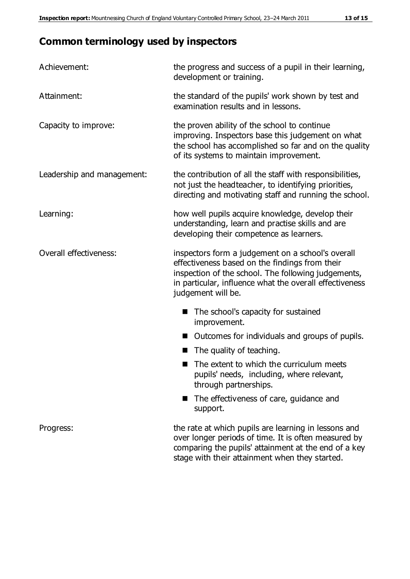# **Common terminology used by inspectors**

| Achievement:               | the progress and success of a pupil in their learning,<br>development or training.                                                                                                                                                          |
|----------------------------|---------------------------------------------------------------------------------------------------------------------------------------------------------------------------------------------------------------------------------------------|
| Attainment:                | the standard of the pupils' work shown by test and<br>examination results and in lessons.                                                                                                                                                   |
| Capacity to improve:       | the proven ability of the school to continue<br>improving. Inspectors base this judgement on what<br>the school has accomplished so far and on the quality<br>of its systems to maintain improvement.                                       |
| Leadership and management: | the contribution of all the staff with responsibilities,<br>not just the headteacher, to identifying priorities,<br>directing and motivating staff and running the school.                                                                  |
| Learning:                  | how well pupils acquire knowledge, develop their<br>understanding, learn and practise skills and are<br>developing their competence as learners.                                                                                            |
| Overall effectiveness:     | inspectors form a judgement on a school's overall<br>effectiveness based on the findings from their<br>inspection of the school. The following judgements,<br>in particular, influence what the overall effectiveness<br>judgement will be. |
|                            | The school's capacity for sustained<br>improvement.                                                                                                                                                                                         |
|                            | Outcomes for individuals and groups of pupils.                                                                                                                                                                                              |
|                            | The quality of teaching.                                                                                                                                                                                                                    |
|                            | The extent to which the curriculum meets<br>pupils' needs, including, where relevant,<br>through partnerships.                                                                                                                              |
|                            | The effectiveness of care, guidance and<br>support.                                                                                                                                                                                         |
| Progress:                  | the rate at which pupils are learning in lessons and<br>over longer periods of time. It is often measured by<br>comparing the pupils' attainment at the end of a key                                                                        |

stage with their attainment when they started.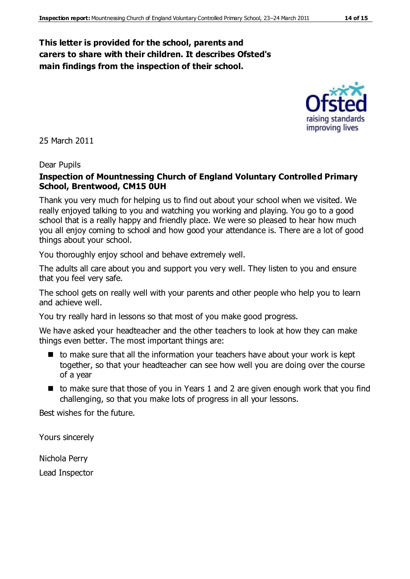#### **This letter is provided for the school, parents and carers to share with their children. It describes Ofsted's main findings from the inspection of their school.**



25 March 2011

#### Dear Pupils

#### **Inspection of Mountnessing Church of England Voluntary Controlled Primary School, Brentwood, CM15 0UH**

Thank you very much for helping us to find out about your school when we visited. We really enjoyed talking to you and watching you working and playing. You go to a good school that is a really happy and friendly place. We were so pleased to hear how much you all enjoy coming to school and how good your attendance is. There are a lot of good things about your school.

You thoroughly enjoy school and behave extremely well.

The adults all care about you and support you very well. They listen to you and ensure that you feel very safe.

The school gets on really well with your parents and other people who help you to learn and achieve well.

You try really hard in lessons so that most of you make good progress.

We have asked your headteacher and the other teachers to look at how they can make things even better. The most important things are:

- $\blacksquare$  to make sure that all the information your teachers have about your work is kept together, so that your headteacher can see how well you are doing over the course of a year
- $\blacksquare$  to make sure that those of you in Years 1 and 2 are given enough work that you find challenging, so that you make lots of progress in all your lessons.

Best wishes for the future.

Yours sincerely

Nichola Perry

Lead Inspector